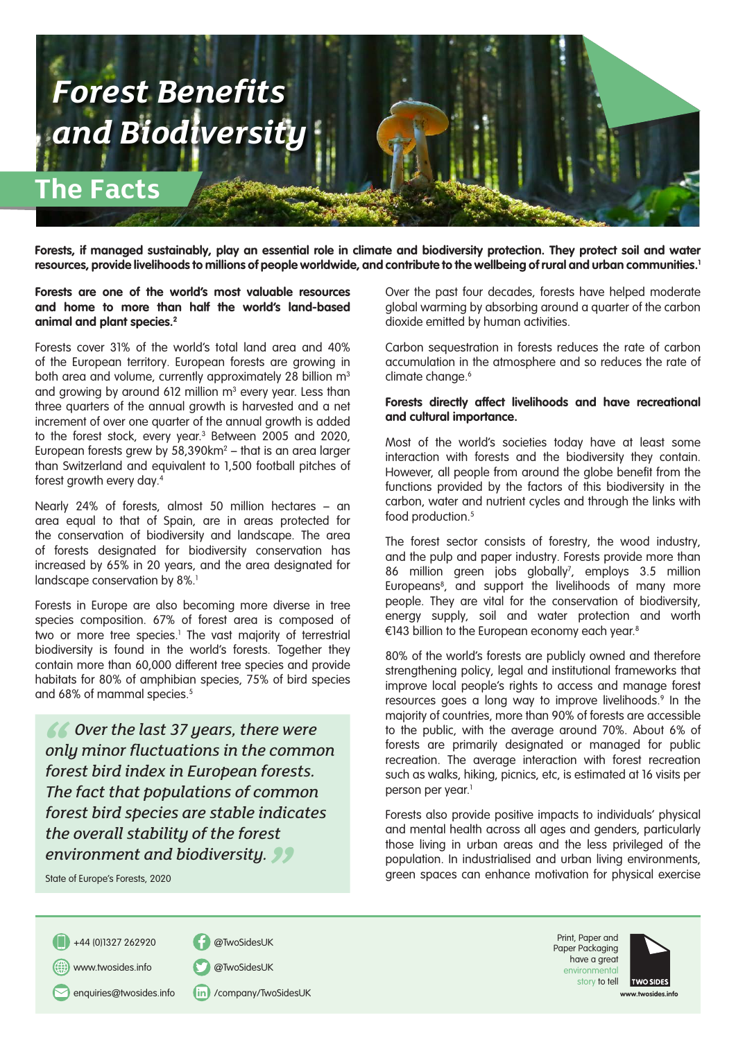

Forests, if managed sustainably, play an essential role in climate and biodiversity protection. They protect soil and water **resources, provide livelihoods to millions of people worldwide, and contribute to the wellbeing of rural and urban communities.1**

**Forests are one of the world's most valuable resources and home to more than half the world's land-based animal and plant species.2** 

Forests cover 31% of the world's total land area and 40% of the European territory. European forests are growing in both area and volume, currently approximately 28 billion m<sup>3</sup> and growing by around 612 million  $m^3$  every year. Less than three quarters of the annual growth is harvested and a net increment of over one quarter of the annual growth is added to the forest stock, every year.3 Between 2005 and 2020, European forests grew by 58,390 $km^2$  — that is an area larger than Switzerland and equivalent to 1,500 football pitches of forest growth every day.4

Nearly 24% of forests, almost 50 million hectares – an area equal to that of Spain, are in areas protected for the conservation of biodiversity and landscape. The area of forests designated for biodiversity conservation has increased by 65% in 20 years, and the area designated for landscape conservation by 8%.<sup>1</sup>

Forests in Europe are also becoming more diverse in tree species composition. 67% of forest area is composed of two or more tree species.<sup>1</sup> The vast majority of terrestrial biodiversity is found in the world's forests. Together they contain more than 60,000 different tree species and provide habitats for 80% of amphibian species, 75% of bird species and 68% of mammal species.<sup>5</sup>

 $\begin{array}{c} 66 \\ \hline \text{on} \\ \text{for} \end{array}$ **Environment and biodiversity.**<br> **State of Europe's Forests, 2020**<br> **State of Europe's Forests, 2020**  *Over the last 37 years, there were only minor fluctuations in the common forest bird index in European forests. The fact that populations of common forest bird species are stable indicates the overall stability of the forest* 

State of Europe's Forests, 2020

Over the past four decades, forests have helped moderate global warming by absorbing around a quarter of the carbon dioxide emitted by human activities.

Carbon sequestration in forests reduces the rate of carbon accumulation in the atmosphere and so reduces the rate of climate change.<sup>6</sup>

## **Forests directly affect livelihoods and have recreational and cultural importance.**

Most of the world's societies today have at least some interaction with forests and the biodiversity they contain. However, all people from around the globe benefit from the functions provided by the factors of this biodiversity in the carbon, water and nutrient cycles and through the links with food production.<sup>5</sup>

The forest sector consists of forestry, the wood industry, and the pulp and paper industry. Forests provide more than 86 million green jobs globally<sup>7</sup>, employs 3.5 million Europeans<sup>8</sup>, and support the livelihoods of many more people. They are vital for the conservation of biodiversity, energy supply, soil and water protection and worth €143 billion to the European economy each year.8

80% of the world's forests are publicly owned and therefore strengthening policy, legal and institutional frameworks that improve local people's rights to access and manage forest resources goes a long way to improve livelihoods.<sup>9</sup> In the majority of countries, more than 90% of forests are accessible to the public, with the average around 70%. About 6% of forests are primarily designated or managed for public recreation. The average interaction with forest recreation such as walks, hiking, picnics, etc, is estimated at 16 visits per person per year.<sup>1</sup>

Forests also provide positive impacts to individuals' physical and mental health across all ages and genders, particularly those living in urban areas and the less privileged of the population. In industrialised and urban living environments, green spaces can enhance motivation for physical exercise

+44 (0)1327 262920 @TwoSidesUK



enquiries@twosides.info (in) /company/TwoSidesUK

Print, Paper and Paper Packaging have a great environmen story to tell



**www.twosides.info**